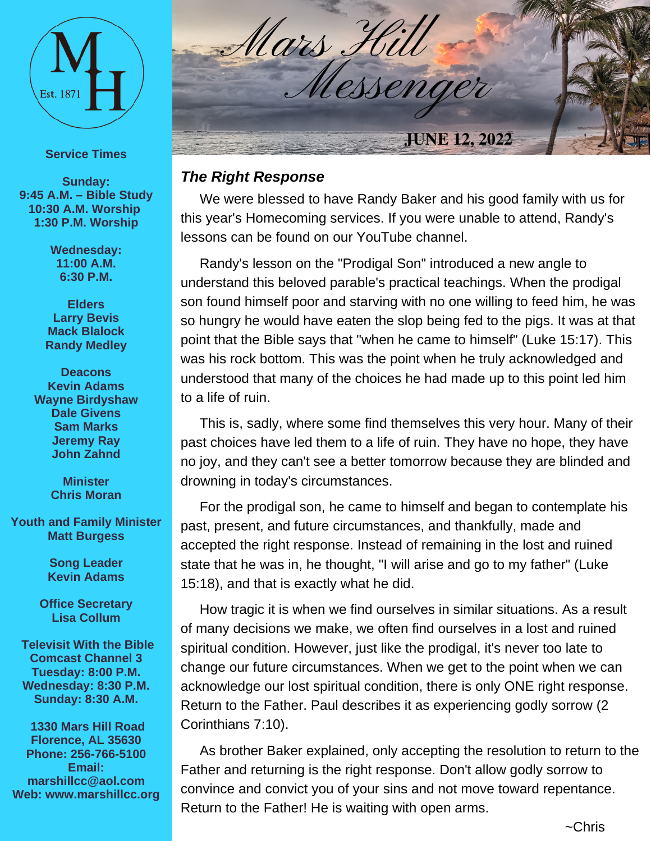

#### **Service Times**

**Sunday: 9:45 A.M. – Bible Study 10:30 A.M. Worship 1:30 P.M. Worship**

> **Wednesday: 11:00 A.M. 6:30 P.M.**

**Elders Larry Bevis Mack Blalock Randy Medley**

**Deacons Kevin Adams Wayne Birdyshaw Dale Givens Sam Marks Jeremy Ray John Zahnd**

> **Minister Chris Moran**

**Youth and Family Minister Matt Burgess**

> **Song Leader Kevin Adams**

**Office Secretary Lisa Collum**

**Televisit With the Bible Comcast Channel 3 Tuesday: 8:00 P.M. Wednesday: 8:30 P.M. Sunday: 8:30 A.M.**

**1330 Mars Hill Road Florence, AL 35630 Phone: 256-766-5100 Email: marshillcc@aol.com Web: www.marshillcc.org**



#### *The Right Response*

We were blessed to have Randy Baker and his good family with us for this year's Homecoming services. If you were unable to attend, Randy's lessons can be found on our YouTube channel.

Randy's lesson on the "Prodigal Son" introduced a new angle to understand this beloved parable's practical teachings. When the prodigal son found himself poor and starving with no one willing to feed him, he was so hungry he would have eaten the slop being fed to the pigs. It was at that point that the Bible says that "when he came to himself" (Luke 15:17). This was his rock bottom. This was the point when he truly acknowledged and understood that many of the choices he had made up to this point led him to a life of ruin.

This is, sadly, where some find themselves this very hour. Many of their past choices have led them to a life of ruin. They have no hope, they have no joy, and they can't see a better tomorrow because they are blinded and drowning in today's circumstances.

For the prodigal son, he came to himself and began to contemplate his past, present, and future circumstances, and thankfully, made and accepted the right response. Instead of remaining in the lost and ruined state that he was in, he thought, "I will arise and go to my father" (Luke 15:18), and that is exactly what he did.

How tragic it is when we find ourselves in similar situations. As a result of many decisions we make, we often find ourselves in a lost and ruined spiritual condition. However, just like the prodigal, it's never too late to change our future circumstances. When we get to the point when we can acknowledge our lost spiritual condition, there is only ONE right response. Return to the Father. Paul describes it as experiencing godly sorrow (2 Corinthians 7:10).

As brother Baker explained, only accepting the resolution to return to the Father and returning is the right response. Don't allow godly sorrow to convince and convict you of your sins and not move toward repentance. Return to the Father! He is waiting with open arms.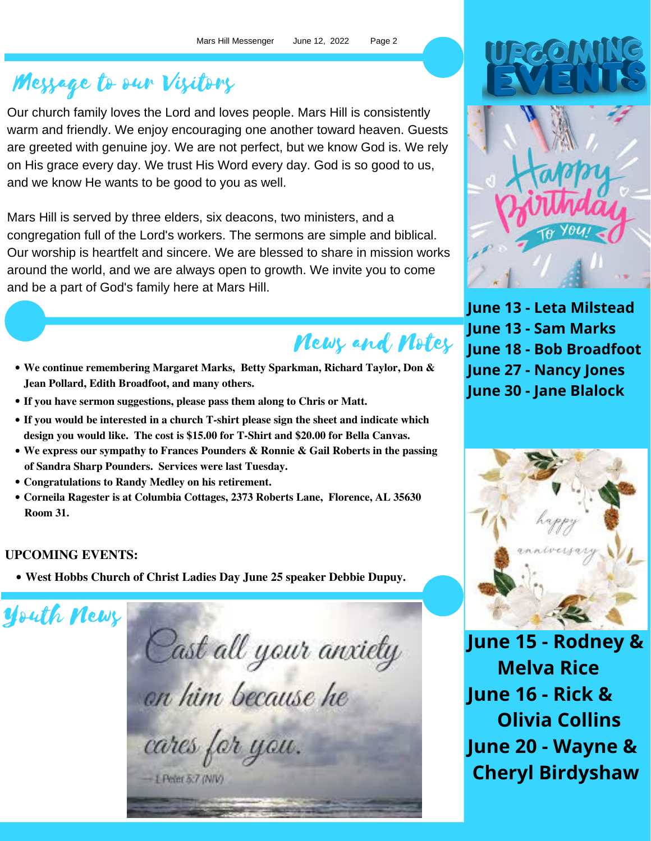# Message to our Visitors

Our church family loves the Lord and loves people. Mars Hill is consistently warm and friendly. We enjoy encouraging one another toward heaven. Guests are greeted with genuine joy. We are not perfect, but we know God is. We rely on His grace every day. We trust His Word every day. God is so good to us, and we know He wants to be good to you as well.

Mars Hill is served by three elders, six deacons, two ministers, and a congregation full of the Lord's workers. The sermons are simple and biblical. Our worship is heartfelt and sincere. We are blessed to share in mission works around the world, and we are always open to growth. We invite you to come and be a part of God's family here at Mars Hill.

# News and Notes

- **We continue remembering Margaret Marks, Betty Sparkman, Richard Taylor, Don & Jean Pollard, Edith Broadfoot, and many others.**
- **If you have sermon suggestions, please pass them along to Chris or Matt.**
- **If you would be interested in a church T-shirt please sign the sheet and indicate which design you would like. The cost is \$15.00 for T-Shirt and \$20.00 for Bella Canvas.**
- **We express our sympathy to Frances Pounders & Ronnie & Gail Roberts in the passing of Sandra Sharp Pounders. Services were lastTuesday.**
- **Congratulations to Randy Medley on his retirement.**
- **Corneila Ragester is at Columbia Cottages, 2373 Roberts Lane, Florence, AL 35630 Room 31.**

### **UPCOMING EVENTS:**

**West Hobbs Church of Christ Ladies Day June 25 speaker Debbie Dupuy.**

Youth News

Cast all your anxiety on him because he cares for you.  $-1$  Peter 5:7 (NIV)



**June 13 - Leta Milstead June 13 - Sam Marks June 18 - Bob Broadfoot June 27 - Nancy Jones June 30 - Jane Blalock**



**June 15 - Rodney & Melva Rice June 16 - Rick & Olivia Collins June 20 - Wayne & Cheryl Birdyshaw**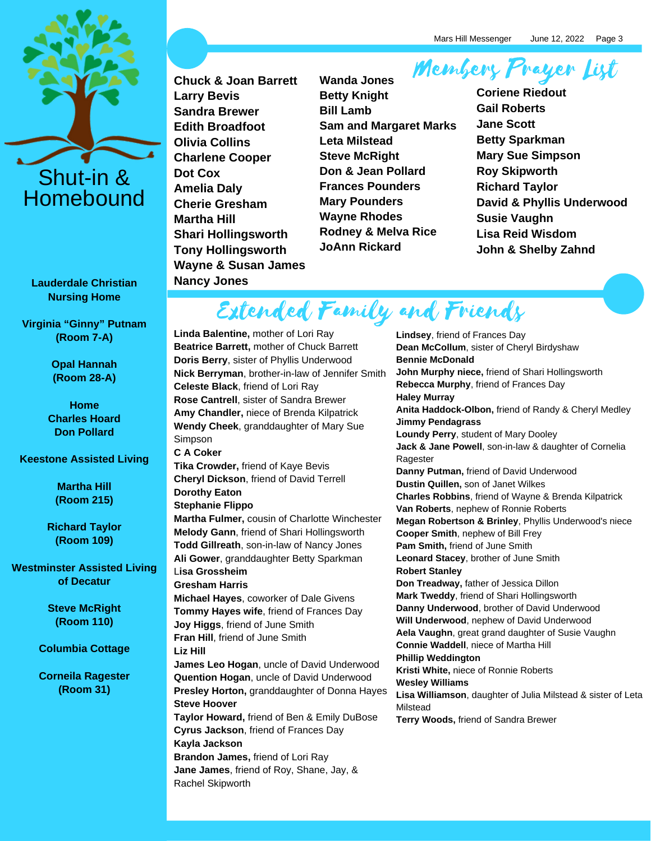

**Lauderdale Christian Nursing Home**

**Virginia "Ginny" Putnam (Room 7-A)**

> **Opal Hannah (Room 28-A)**

**Home Charles Hoard Don Pollard**

**Keestone Assisted Living**

**Martha Hill (Room 215)**

**Richard Taylor (Room 109)**

**Westminster Assisted Living of Decatur**

> **Steve McRight (Room 110)**

**Columbia Cottage**

**Corneila Ragester (Room 31)**

**Chuck & Joan Barrett Larry Bevis Sandra Brewer Edith Broadfoot Olivia Collins Charlene Cooper Dot Cox Amelia Daly Cherie Gresham Martha Hill Shari Hollingsworth Tony Hollingsworth Wayne & Susan James Nancy Jones**

Members Prayer List **Wanda Jones Betty Knight Bill Lamb Sam and Margaret Marks Leta Milstead Steve McRight Don & Jean Pollard Frances Pounders Mary Pounders Wayne Rhodes Rodney & Melva Rice JoAnn Rickard**

**Coriene Riedout Gail Roberts Jane Scott Betty Sparkman Mary Sue Simpson Roy Skipworth Richard Taylor David & Phyllis Underwood Susie Vaughn Lisa Reid Wisdom John & Shelby Zahnd**

Extended Family and Friends

**Linda Balentine,** mother of Lori Ray **Beatrice Barrett,** mother of Chuck Barrett **Doris Berry**, sister of Phyllis Underwood **Nick Berryman**, brother-in-law of Jennifer Smith **Celeste Black**, friend of Lori Ray **Rose Cantrell**, sister of Sandra Brewer **Amy Chandler,** niece of Brenda Kilpatrick **Wendy Cheek**, granddaughter of Mary Sue Simpson **C A Coker Tika Crowder,** friend of Kaye Bevis **Cheryl Dickson**, friend of David Terrell **Dorothy Eaton Stephanie Flippo Martha Fulmer,** cousin of Charlotte Winchester **Melody Gann**, friend of Shari Hollingsworth **Todd Gillreath**, son-in-law of Nancy Jones **Ali Gower**, granddaughter Betty Sparkman L**isa Grossheim Gresham Harris Michael Hayes**, coworker of Dale Givens **Tommy Hayes wife**, friend of Frances Day **Joy Higgs**, friend of June Smith **Fran Hill**, friend of June Smith **Liz Hill James Leo Hogan**, uncle of David Underwood **Quention Hogan**, uncle of David Underwood **Presley Horton,** granddaughter of Donna Hayes **Steve Hoover Taylor Howard,** friend of Ben & Emily DuBose **Cyrus Jackson**, friend of Frances Day **Kayla Jackson Brandon James,** friend of Lori Ray **Jane James**, friend of Roy, Shane, Jay, & Rachel Skipworth

**Lindsey**, friend of Frances Day **Dean McCollum**, sister of Cheryl Birdyshaw **Bennie McDonald John Murphy niece,** friend of Shari Hollingsworth **Rebecca Murphy**, friend of Frances Day **Haley Murray Anita Haddock-Olbon,** friend of Randy & Cheryl Medley **Jimmy Pendagrass Loundy Perry**, student of Mary Dooley **Jack & Jane Powell**, son-in-law & daughter of Cornelia Ragester **Danny Putman,** friend of David Underwood **Dustin Quillen,** son of Janet Wilkes **Charles Robbins**, friend of Wayne & Brenda Kilpatrick **Van Roberts**, nephew of Ronnie Roberts **Megan Robertson & Brinley**, Phyllis Underwood's niece **Cooper Smith**, nephew of Bill Frey **Pam Smith,** friend of June Smith **Leonard Stacey**, brother of June Smith **Robert Stanley Don Treadway,** father of Jessica Dillon **Mark Tweddy**, friend of Shari Hollingsworth **Danny Underwood**, brother of David Underwood **Will Underwood**, nephew of David Underwood **Aela Vaughn**, great grand daughter of Susie Vaughn **Connie Waddell**, niece of Martha Hill **Phillip Weddington Kristi White,** niece of Ronnie Roberts **Wesley Williams Lisa Williamson**, daughter of Julia Milstead & sister of Leta Milstead **Terry Woods,** friend of Sandra Brewer